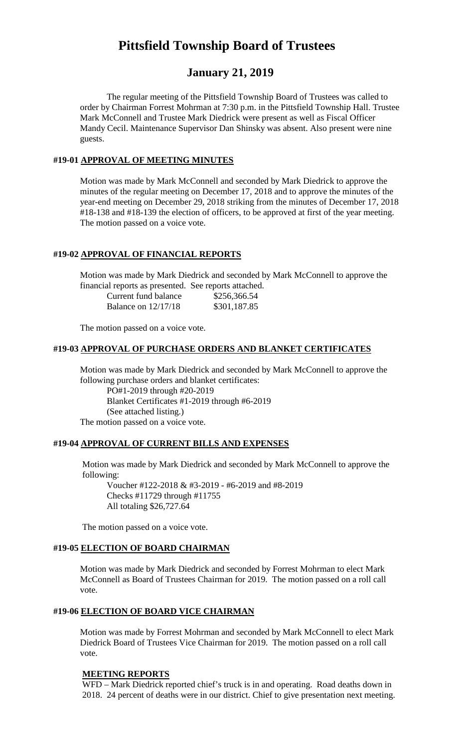# **Pittsfield Township Board of Trustees**

# **January 21, 2019**

The regular meeting of the Pittsfield Township Board of Trustees was called to order by Chairman Forrest Mohrman at 7:30 p.m. in the Pittsfield Township Hall. Trustee Mark McConnell and Trustee Mark Diedrick were present as well as Fiscal Officer Mandy Cecil. Maintenance Supervisor Dan Shinsky was absent. Also present were nine guests.

#### **#19-01 APPROVAL OF MEETING MINUTES**

Motion was made by Mark McConnell and seconded by Mark Diedrick to approve the minutes of the regular meeting on December 17, 2018 and to approve the minutes of the year-end meeting on December 29, 2018 striking from the minutes of December 17, 2018 #18-138 and #18-139 the election of officers, to be approved at first of the year meeting. The motion passed on a voice vote.

#### **#19-02 APPROVAL OF FINANCIAL REPORTS**

Motion was made by Mark Diedrick and seconded by Mark McConnell to approve the financial reports as presented. See reports attached.

| Current fund balance  | \$256,366.54 |
|-----------------------|--------------|
| Balance on $12/17/18$ | \$301,187.85 |

The motion passed on a voice vote.

#### **#19-03 APPROVAL OF PURCHASE ORDERS AND BLANKET CERTIFICATES**

Motion was made by Mark Diedrick and seconded by Mark McConnell to approve the following purchase orders and blanket certificates: PO#1-2019 through #20-2019 Blanket Certificates #1-2019 through #6-2019 (See attached listing.) The motion passed on a voice vote.

#### **#19-04 APPROVAL OF CURRENT BILLS AND EXPENSES**

Motion was made by Mark Diedrick and seconded by Mark McConnell to approve the following:

Voucher #122-2018 & #3-2019 - #6-2019 and #8-2019 Checks #11729 through #11755 All totaling \$26,727.64

The motion passed on a voice vote.

### **#19-05 ELECTION OF BOARD CHAIRMAN**

Motion was made by Mark Diedrick and seconded by Forrest Mohrman to elect Mark McConnell as Board of Trustees Chairman for 2019. The motion passed on a roll call vote.

#### **#19-06 ELECTION OF BOARD VICE CHAIRMAN**

Motion was made by Forrest Mohrman and seconded by Mark McConnell to elect Mark Diedrick Board of Trustees Vice Chairman for 2019. The motion passed on a roll call vote.

#### **MEETING REPORTS**

WFD – Mark Diedrick reported chief's truck is in and operating. Road deaths down in 2018. 24 percent of deaths were in our district. Chief to give presentation next meeting.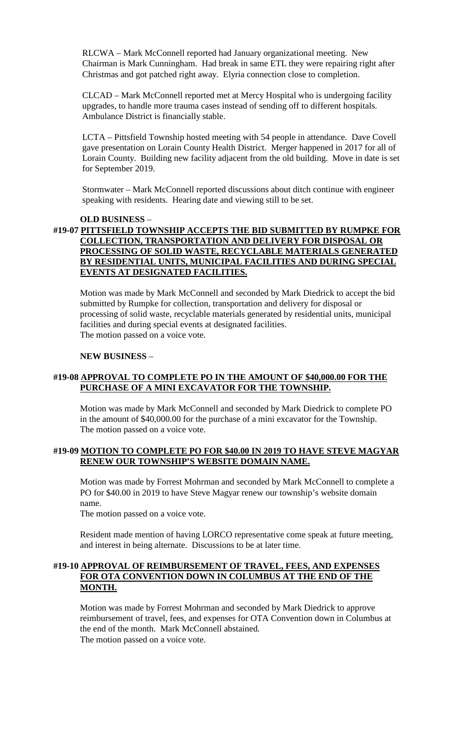RLCWA – Mark McConnell reported had January organizational meeting. New Chairman is Mark Cunningham. Had break in same ETL they were repairing right after Christmas and got patched right away. Elyria connection close to completion.

CLCAD – Mark McConnell reported met at Mercy Hospital who is undergoing facility upgrades, to handle more trauma cases instead of sending off to different hospitals. Ambulance District is financially stable.

LCTA – Pittsfield Township hosted meeting with 54 people in attendance. Dave Covell gave presentation on Lorain County Health District. Merger happened in 2017 for all of Lorain County. Building new facility adjacent from the old building. Move in date is set for September 2019.

Stormwater – Mark McConnell reported discussions about ditch continue with engineer speaking with residents. Hearing date and viewing still to be set.

### **OLD BUSINESS** – **#19-07 PITTSFIELD TOWNSHIP ACCEPTS THE BID SUBMITTED BY RUMPKE FOR COLLECTION, TRANSPORTATION AND DELIVERY FOR DISPOSAL OR PROCESSING OF SOLID WASTE, RECYCLABLE MATERIALS GENERATED BY RESIDENTIAL UNITS, MUNICIPAL FACILITIES AND DURING SPECIAL EVENTS AT DESIGNATED FACILITIES.**

Motion was made by Mark McConnell and seconded by Mark Diedrick to accept the bid submitted by Rumpke for collection, transportation and delivery for disposal or processing of solid waste, recyclable materials generated by residential units, municipal facilities and during special events at designated facilities. The motion passed on a voice vote.

#### **NEW BUSINESS** –

### **#19-08 APPROVAL TO COMPLETE PO IN THE AMOUNT OF \$40,000.00 FOR THE PURCHASE OF A MINI EXCAVATOR FOR THE TOWNSHIP.**

Motion was made by Mark McConnell and seconded by Mark Diedrick to complete PO in the amount of \$40,000.00 for the purchase of a mini excavator for the Township. The motion passed on a voice vote.

#### **#19-09 MOTION TO COMPLETE PO FOR \$40.00 IN 2019 TO HAVE STEVE MAGYAR RENEW OUR TOWNSHIP'S WEBSITE DOMAIN NAME.**

Motion was made by Forrest Mohrman and seconded by Mark McConnell to complete a PO for \$40.00 in 2019 to have Steve Magyar renew our township's website domain name.

The motion passed on a voice vote.

Resident made mention of having LORCO representative come speak at future meeting, and interest in being alternate. Discussions to be at later time.

#### **#19-10 APPROVAL OF REIMBURSEMENT OF TRAVEL, FEES, AND EXPENSES FOR OTA CONVENTION DOWN IN COLUMBUS AT THE END OF THE MONTH.**

Motion was made by Forrest Mohrman and seconded by Mark Diedrick to approve reimbursement of travel, fees, and expenses for OTA Convention down in Columbus at the end of the month. Mark McConnell abstained. The motion passed on a voice vote.